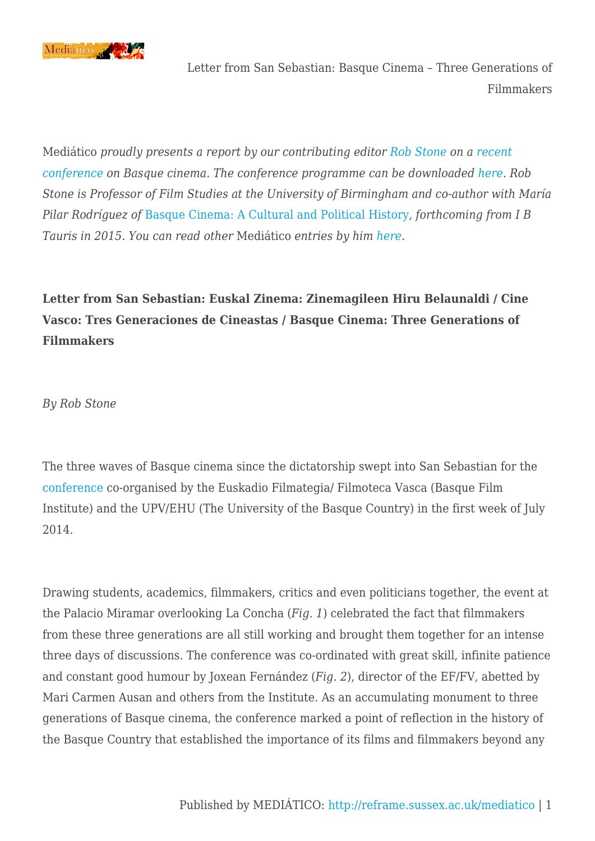

Mediático *proudly presents a report by our contributing editor [Rob Stone](http://www.birmingham.ac.uk/staff/profiles/fcw/stone-rob.aspx) on a [recent](http://www.filmotecavasca.com/es/cine-vasco-tres-generaciones-de-cineastas) [conference](http://www.filmotecavasca.com/es/cine-vasco-tres-generaciones-de-cineastas) on Basque cinema. The conference programme can be downloaded [here](http://reframe.sussex.ac.uk/mediatico/2014/07/14/letter-from-san-sebastian-basque-cinema-three-generations-of-filmmakers/basque-cinema-conference-programme/). Rob Stone is Professor of Film Studies at the University of Birmingham and co-author with María Pilar Rodríguez of* [Basque Cinema: A Cultural and Political History](http://www.ibtauris.com/Books/The%20arts/Film%20TV%20%20radio/Films%20cinema/Film%20theory%20%20criticism/Basque%20Cinema%20A%20Cultural%20and%20Political%20History.aspx?menuitem={1E8BB86C-2C2C-4769-A440-E6D2CA51E0D6})*, forthcoming from I B Tauris in 2015. You can read other* Mediático *entries by him [here.](http://reframe.sussex.ac.uk/mediatico/tag/rob-stone/)*

**Letter from San Sebastian: Euskal Zinema: Zinemagileen Hiru Belaunaldi / Cine Vasco: Tres Generaciones de Cineastas / Basque Cinema: Three Generations of Filmmakers**

*By Rob Stone*

The three waves of Basque cinema since the dictatorship swept into San Sebastian for the [conference](http://www.filmotecavasca.com/es/cine-vasco-tres-generaciones-de-cineastas.) co-organised by the Euskadio Filmategia/ Filmoteca Vasca (Basque Film Institute) and the UPV/EHU (The University of the Basque Country) in the first week of July 2014.

Drawing students, academics, filmmakers, critics and even politicians together, the event at the Palacio Miramar overlooking La Concha (*Fig. 1*) celebrated the fact that filmmakers from these three generations are all still working and brought them together for an intense three days of discussions. The conference was co-ordinated with great skill, infinite patience and constant good humour by Joxean Fernández (*Fig. 2*), director of the EF/FV, abetted by Mari Carmen Ausan and others from the Institute. As an accumulating monument to three generations of Basque cinema, the conference marked a point of reflection in the history of the Basque Country that established the importance of its films and filmmakers beyond any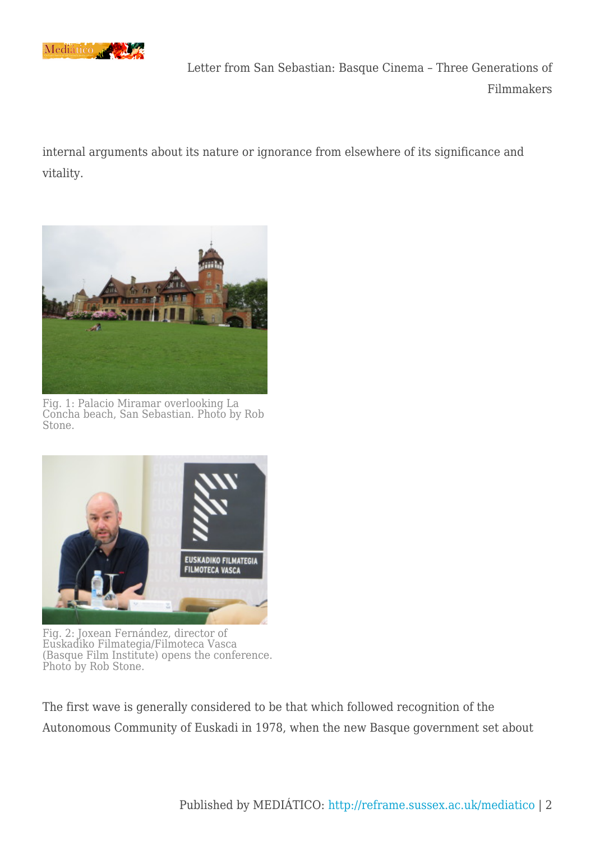

internal arguments about its nature or ignorance from elsewhere of its significance and vitality.



Fig. 1: Palacio Miramar overlooking La Concha beach, San Sebastian. Photo by Rob Stone.



Fig. 2: Joxean Fernández, director of Euskadiko Filmategia/Filmoteca Vasca (Basque Film Institute) opens the conference. Photo by Rob Stone.

The first wave is generally considered to be that which followed recognition of the Autonomous Community of Euskadi in 1978, when the new Basque government set about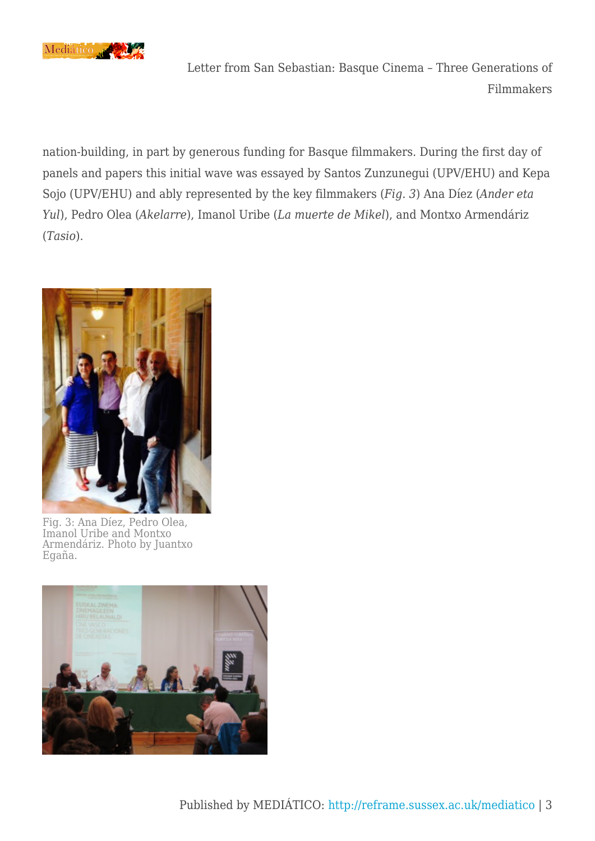

nation-building, in part by generous funding for Basque filmmakers. During the first day of panels and papers this initial wave was essayed by Santos Zunzunegui (UPV/EHU) and Kepa Sojo (UPV/EHU) and ably represented by the key filmmakers (*Fig. 3*) Ana Díez (*Ander eta Yul*), Pedro Olea (*Akelarre*), Imanol Uribe (*La muerte de Mikel*), and Montxo Armendáriz (*Tasio*).



Fig. 3: Ana Díez, Pedro Olea, Imanol Uribe and Montxo Armendáriz. Photo by Juantxo Egaña.

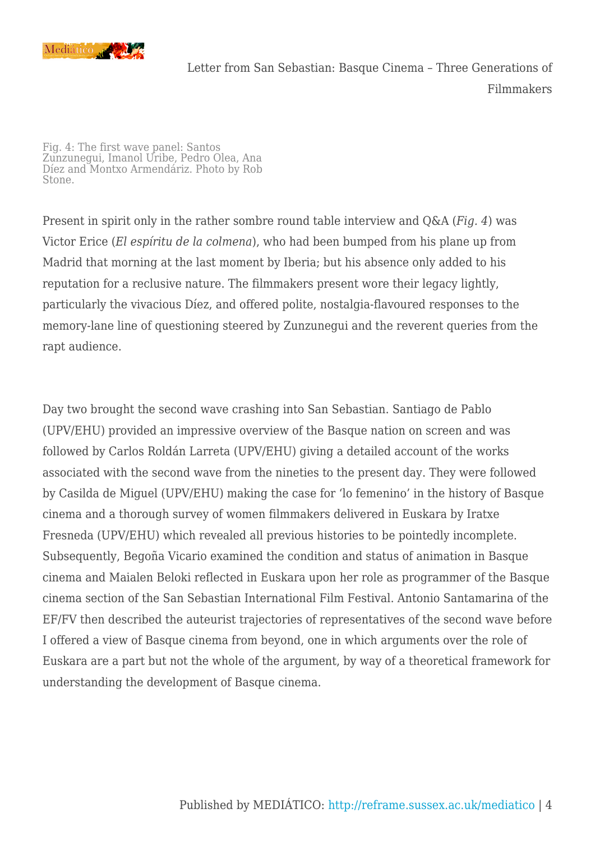

Fig. 4: The first wave panel: Santos Zunzunegui, Imanol Uribe, Pedro Olea, Ana Díez and Montxo Armendáriz. Photo by Rob Stone.

Present in spirit only in the rather sombre round table interview and Q&A (*Fig. 4*) was Victor Erice (*El espíritu de la colmena*), who had been bumped from his plane up from Madrid that morning at the last moment by Iberia; but his absence only added to his reputation for a reclusive nature. The filmmakers present wore their legacy lightly, particularly the vivacious Díez, and offered polite, nostalgia-flavoured responses to the memory-lane line of questioning steered by Zunzunegui and the reverent queries from the rapt audience.

Day two brought the second wave crashing into San Sebastian. Santiago de Pablo (UPV/EHU) provided an impressive overview of the Basque nation on screen and was followed by Carlos Roldán Larreta (UPV/EHU) giving a detailed account of the works associated with the second wave from the nineties to the present day. They were followed by Casilda de Miguel (UPV/EHU) making the case for 'lo femenino' in the history of Basque cinema and a thorough survey of women filmmakers delivered in Euskara by Iratxe Fresneda (UPV/EHU) which revealed all previous histories to be pointedly incomplete. Subsequently, Begoña Vicario examined the condition and status of animation in Basque cinema and Maialen Beloki reflected in Euskara upon her role as programmer of the Basque cinema section of the San Sebastian International Film Festival. Antonio Santamarina of the EF/FV then described the auteurist trajectories of representatives of the second wave before I offered a view of Basque cinema from beyond, one in which arguments over the role of Euskara are a part but not the whole of the argument, by way of a theoretical framework for understanding the development of Basque cinema.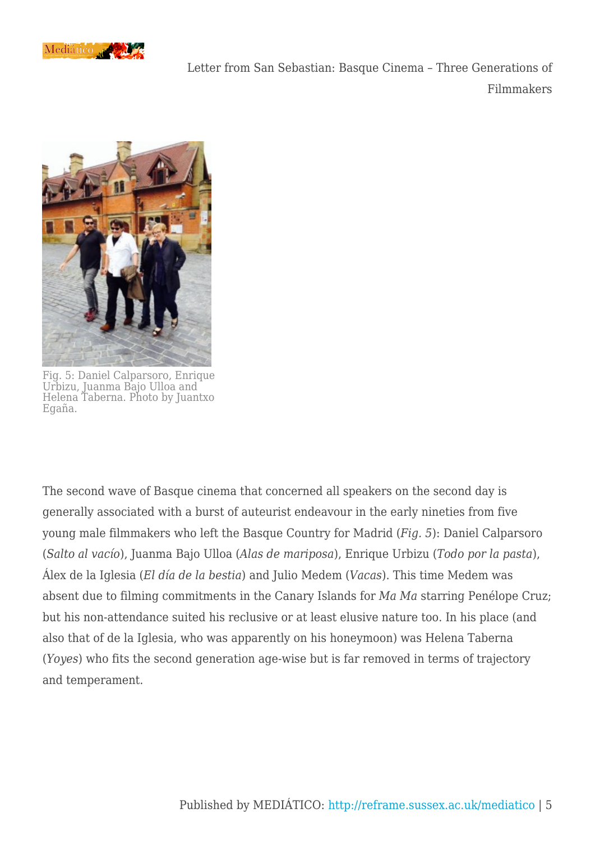



Fig. 5: Daniel Calparsoro, Enrique Urbizu, Juanma Bajo Ulloa and Helena Taberna. Photo by Juantxo Egaña.

The second wave of Basque cinema that concerned all speakers on the second day is generally associated with a burst of auteurist endeavour in the early nineties from five young male filmmakers who left the Basque Country for Madrid (*Fig. 5*): Daniel Calparsoro (*Salto al vacío*), Juanma Bajo Ulloa (*Alas de mariposa*), Enrique Urbizu (*Todo por la pasta*), Álex de la Iglesia (*El día de la bestia*) and Julio Medem (*Vacas*). This time Medem was absent due to filming commitments in the Canary Islands for *Ma Ma* starring Penélope Cruz; but his non-attendance suited his reclusive or at least elusive nature too. In his place (and also that of de la Iglesia, who was apparently on his honeymoon) was Helena Taberna (*Yoyes*) who fits the second generation age-wise but is far removed in terms of trajectory and temperament.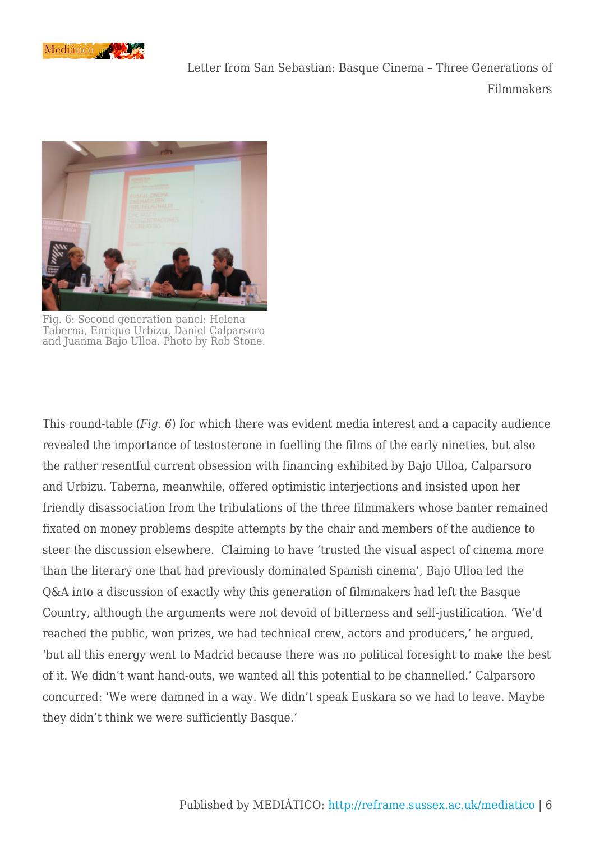



Fig. 6: Second generation panel: Helena Taberna, Enrique Urbizu, Daniel Calparsoro and Juanma Bajo Ulloa. Photo by Rob Stone.

This round-table (*Fig. 6*) for which there was evident media interest and a capacity audience revealed the importance of testosterone in fuelling the films of the early nineties, but also the rather resentful current obsession with financing exhibited by Bajo Ulloa, Calparsoro and Urbizu. Taberna, meanwhile, offered optimistic interjections and insisted upon her friendly disassociation from the tribulations of the three filmmakers whose banter remained fixated on money problems despite attempts by the chair and members of the audience to steer the discussion elsewhere. Claiming to have 'trusted the visual aspect of cinema more than the literary one that had previously dominated Spanish cinema', Bajo Ulloa led the Q&A into a discussion of exactly why this generation of filmmakers had left the Basque Country, although the arguments were not devoid of bitterness and self-justification. 'We'd reached the public, won prizes, we had technical crew, actors and producers,' he argued, 'but all this energy went to Madrid because there was no political foresight to make the best of it. We didn't want hand-outs, we wanted all this potential to be channelled.' Calparsoro concurred: 'We were damned in a way. We didn't speak Euskara so we had to leave. Maybe they didn't think we were sufficiently Basque.'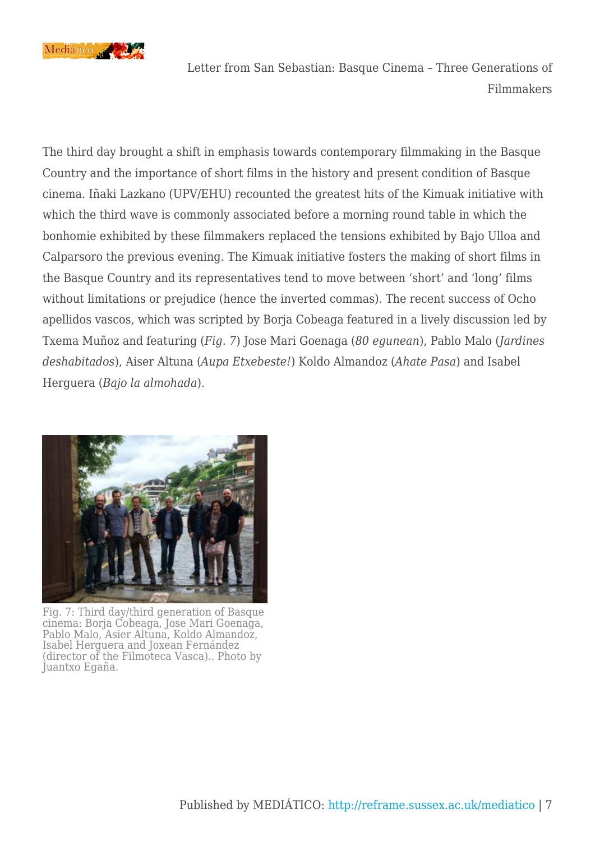

The third day brought a shift in emphasis towards contemporary filmmaking in the Basque Country and the importance of short films in the history and present condition of Basque cinema. Iñaki Lazkano (UPV/EHU) recounted the greatest hits of the Kimuak initiative with which the third wave is commonly associated before a morning round table in which the bonhomie exhibited by these filmmakers replaced the tensions exhibited by Bajo Ulloa and Calparsoro the previous evening. The Kimuak initiative fosters the making of short films in the Basque Country and its representatives tend to move between 'short' and 'long' films without limitations or prejudice (hence the inverted commas). The recent success of Ocho apellidos vascos, which was scripted by Borja Cobeaga featured in a lively discussion led by Txema Muñoz and featuring (*Fig. 7*) Jose Mari Goenaga (*80 egunean*), Pablo Malo (*Jardines deshabitados*), Aiser Altuna (*Aupa Etxebeste!*) Koldo Almandoz (*Ahate Pasa*) and Isabel Herguera (*Bajo la almohada*).



Fig. 7: Third day/third generation of Basque cinema: Borja Cobeaga, Jose Mari Goenaga, Pablo Malo, Asier Altuna, Koldo Almandoz, Isabel Herguera and Joxean Fernández (director of the Filmoteca Vasca).. Photo by Juantxo Egaña.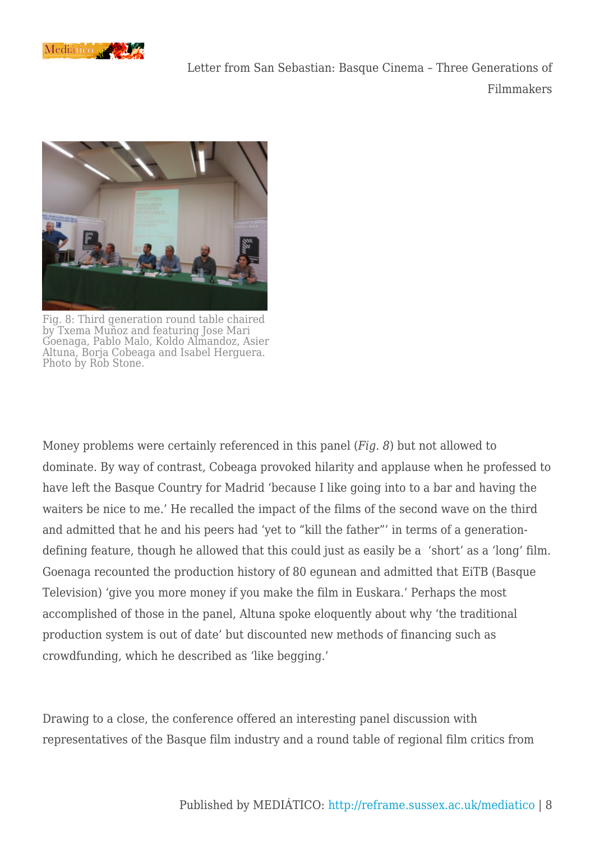



Fig. 8: Third generation round table chaired by Txema Muñoz and featuring Jose Mari Goenaga, Pablo Malo, Koldo Almandoz, Asier Altuna, Borja Cobeaga and Isabel Herguera. Photo by Rob Stone.

Money problems were certainly referenced in this panel (*Fig. 8*) but not allowed to dominate. By way of contrast, Cobeaga provoked hilarity and applause when he professed to have left the Basque Country for Madrid 'because I like going into to a bar and having the waiters be nice to me.' He recalled the impact of the films of the second wave on the third and admitted that he and his peers had 'yet to "kill the father"' in terms of a generationdefining feature, though he allowed that this could just as easily be a 'short' as a 'long' film. Goenaga recounted the production history of 80 egunean and admitted that EiTB (Basque Television) 'give you more money if you make the film in Euskara.' Perhaps the most accomplished of those in the panel, Altuna spoke eloquently about why 'the traditional production system is out of date' but discounted new methods of financing such as crowdfunding, which he described as 'like begging.'

Drawing to a close, the conference offered an interesting panel discussion with representatives of the Basque film industry and a round table of regional film critics from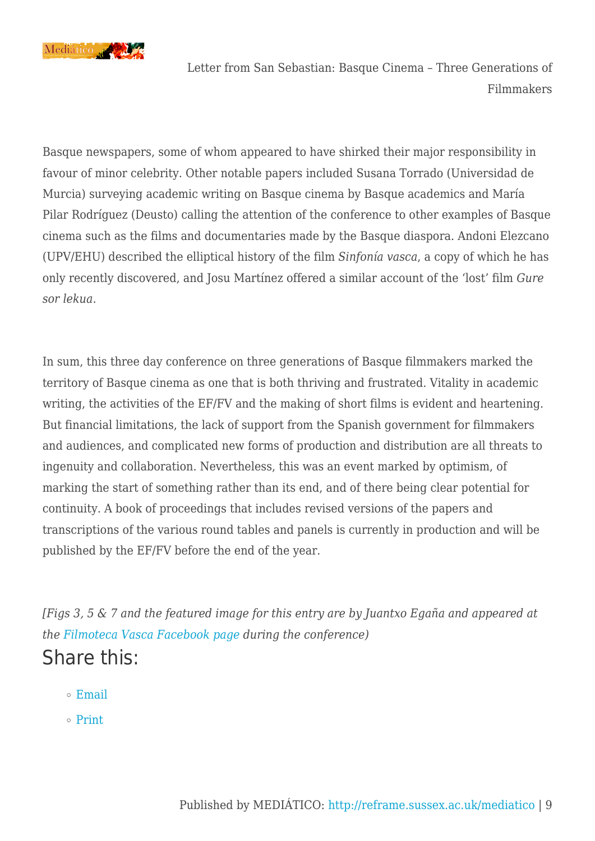

Basque newspapers, some of whom appeared to have shirked their major responsibility in favour of minor celebrity. Other notable papers included Susana Torrado (Universidad de Murcia) surveying academic writing on Basque cinema by Basque academics and María Pilar Rodríguez (Deusto) calling the attention of the conference to other examples of Basque cinema such as the films and documentaries made by the Basque diaspora. Andoni Elezcano (UPV/EHU) described the elliptical history of the film *Sinfonía vasca*, a copy of which he has only recently discovered, and Josu Martínez offered a similar account of the 'lost' film *Gure sor lekua*.

In sum, this three day conference on three generations of Basque filmmakers marked the territory of Basque cinema as one that is both thriving and frustrated. Vitality in academic writing, the activities of the EF/FV and the making of short films is evident and heartening. But financial limitations, the lack of support from the Spanish government for filmmakers and audiences, and complicated new forms of production and distribution are all threats to ingenuity and collaboration. Nevertheless, this was an event marked by optimism, of marking the start of something rather than its end, and of there being clear potential for continuity. A book of proceedings that includes revised versions of the papers and transcriptions of the various round tables and panels is currently in production and will be published by the EF/FV before the end of the year.

*[Figs 3, 5 & 7 and the featured image for this entry are by Juantxo Egaña and appeared at the [Filmoteca Vasca Facebook page](https://www.facebook.com/photo.php?fbid=778590962192343&set=a.254233561294755.83128.254200837964694&type=1) during the conference)* Share this:

- $\circ$  [Email](mailto:?subject=%5BShared%20Post%5D%20Letter%20from%20San%20Sebastian%3A%20Basque%20Cinema%20-%20Three%20Generations%20of%20Filmmakers&body=https%3A%2F%2Freframe.sussex.ac.uk%2Fmediatico%2F2014%2F07%2F14%2Fletter-from-san-sebastian-basque-cinema-three-generations-of-filmmakers%2F&share=email)
- o [Print](https://reframe.sussex.ac.uk/mediatico/2014/07/14/letter-from-san-sebastian-basque-cinema-three-generations-of-filmmakers/#print)